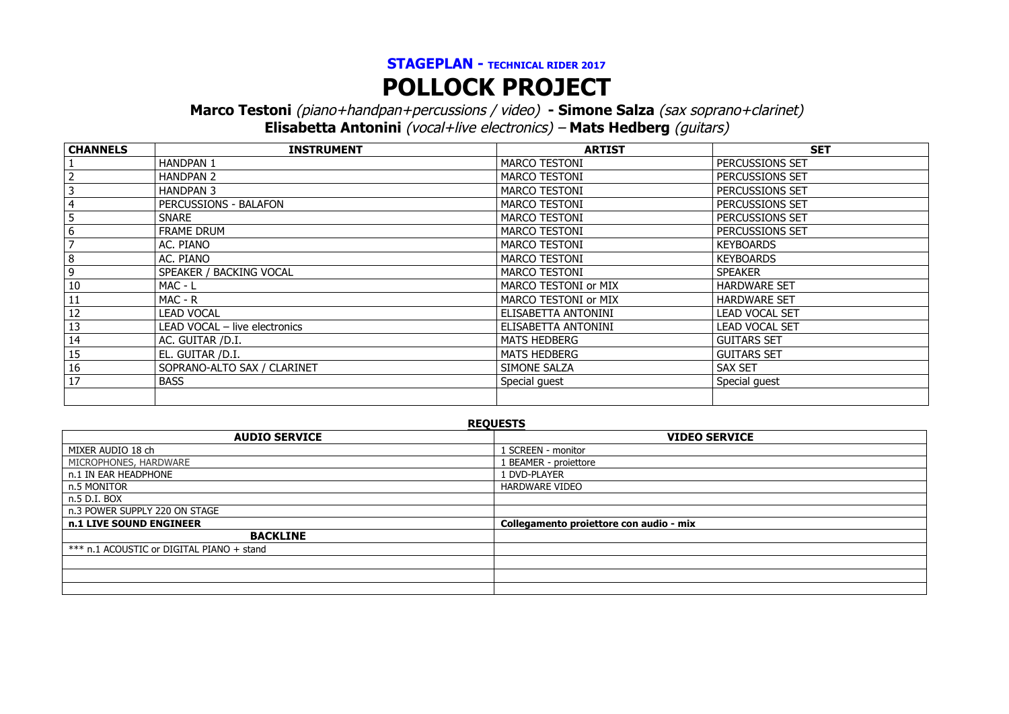## **STAGEPLAN - TECHNICAL RIDER <sup>2017</sup> POLLOCK PROJECT**

**Marco Testoni** (piano+handpan+percussions / video) **- Simone Salza** (sax soprano+clarinet)

**Elisabetta Antonini** (vocal+live electronics) – **Mats Hedberg** (guitars)

| <b>CHANNELS</b> | <b>INSTRUMENT</b>             | <b>ARTIST</b>        | <b>SET</b>            |
|-----------------|-------------------------------|----------------------|-----------------------|
|                 | <b>HANDPAN 1</b>              | MARCO TESTONI        | PERCUSSIONS SET       |
|                 | <b>HANDPAN 2</b>              | <b>MARCO TESTONI</b> | PERCUSSIONS SET       |
|                 | <b>HANDPAN 3</b>              | <b>MARCO TESTONI</b> | PERCUSSIONS SET       |
|                 | PERCUSSIONS - BALAFON         | <b>MARCO TESTONI</b> | PERCUSSIONS SET       |
|                 | <b>SNARE</b>                  | <b>MARCO TESTONI</b> | PERCUSSIONS SET       |
|                 | <b>FRAME DRUM</b>             | MARCO TESTONI        | PERCUSSIONS SET       |
|                 | AC. PIANO                     | <b>MARCO TESTONI</b> | <b>KEYBOARDS</b>      |
| 8               | AC. PIANO                     | <b>MARCO TESTONI</b> | <b>KEYBOARDS</b>      |
| 9               | SPEAKER / BACKING VOCAL       | <b>MARCO TESTONI</b> | <b>SPEAKER</b>        |
| 10              | $MAC - L$                     | MARCO TESTONI or MIX | <b>HARDWARE SET</b>   |
| 11              | MAC - R                       | MARCO TESTONI or MIX | <b>HARDWARE SET</b>   |
| 12              | <b>LEAD VOCAL</b>             | ELISABETTA ANTONINI  | <b>LEAD VOCAL SET</b> |
| 13              | LEAD VOCAL - live electronics | ELISABETTA ANTONINI  | <b>LEAD VOCAL SET</b> |
| 14              | AC. GUITAR /D.I.              | <b>MATS HEDBERG</b>  | <b>GUITARS SET</b>    |
| 15              | EL. GUITAR /D.I.              | <b>MATS HEDBERG</b>  | <b>GUITARS SET</b>    |
| 16              | SOPRANO-ALTO SAX / CLARINET   | SIMONE SALZA         | <b>SAX SET</b>        |
| 17              | <b>BASS</b>                   | Special guest        | Special guest         |
|                 |                               |                      |                       |

**REQUESTS AUDIO SERVICE VIDEO SERVICE** MIXER AUDIO 18 ch 1 SCREEN - monitor 1 SCREEN - monitor 1 SCREEN - monitor 1 SCREEN - monitor 1 SCREEN - monitor MICROPHONES, HARDWARE n.1 IN EAR HEADPHONE 1 DVD-PLAYER n.5 MONITOR HARDWARE VIDEO n.5 D.I. BOX n.3 POWER SUPPLY 220 ON STAGE **n.1 LIVE SOUND ENGINEER Collegamento proiettore con audio - mix BACKLINE** \*\*\* n.1 ACOUSTIC or DIGITAL PIANO + stand